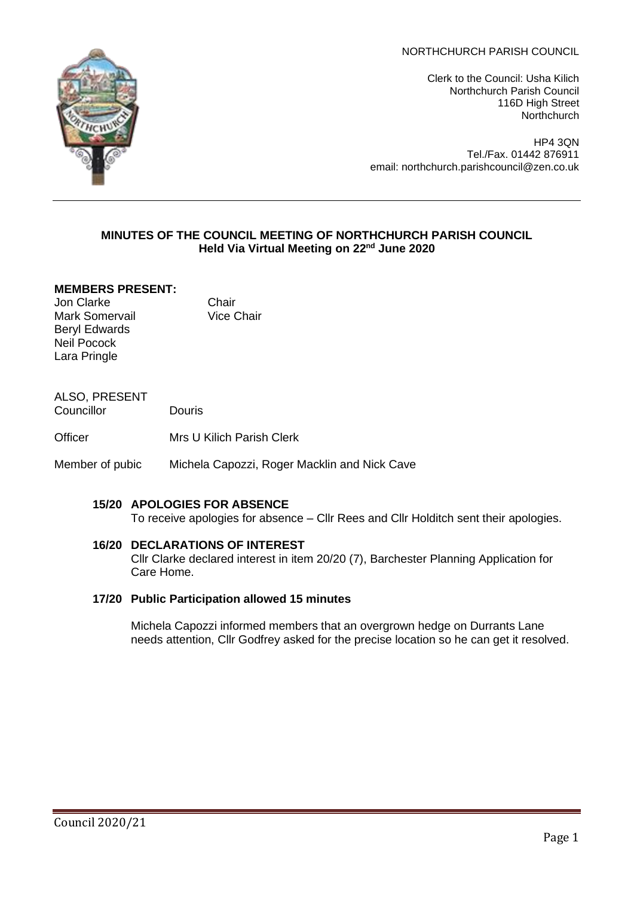NORTHCHURCH PARISH COUNCIL

Clerk to the Council: Usha Kilich Northchurch Parish Council 116D High Street **Northchurch** 

HP4 3QN Tel./Fax. 01442 876911 email: northchurch.parishcouncil@zen.co.uk

#### **MINUTES OF THE COUNCIL MEETING OF NORTHCHURCH PARISH COUNCIL Held Via Virtual Meeting on 22nd June 2020**

### **MEMBERS PRESENT:**

Jon Clarke Chair Mark Somervail Vice Chair Beryl Edwards Neil Pocock Lara Pringle

ALSO, PRESENT Councillor Douris

Officer Mrs U Kilich Parish Clerk

Member of pubic Michela Capozzi, Roger Macklin and Nick Cave

### **15/20 APOLOGIES FOR ABSENCE**

To receive apologies for absence – Cllr Rees and Cllr Holditch sent their apologies.

#### **16/20 DECLARATIONS OF INTEREST**

Cllr Clarke declared interest in item 20/20 (7), Barchester Planning Application for Care Home.

#### **17/20 Public Participation allowed 15 minutes**

Michela Capozzi informed members that an overgrown hedge on Durrants Lane needs attention, Cllr Godfrey asked for the precise location so he can get it resolved.

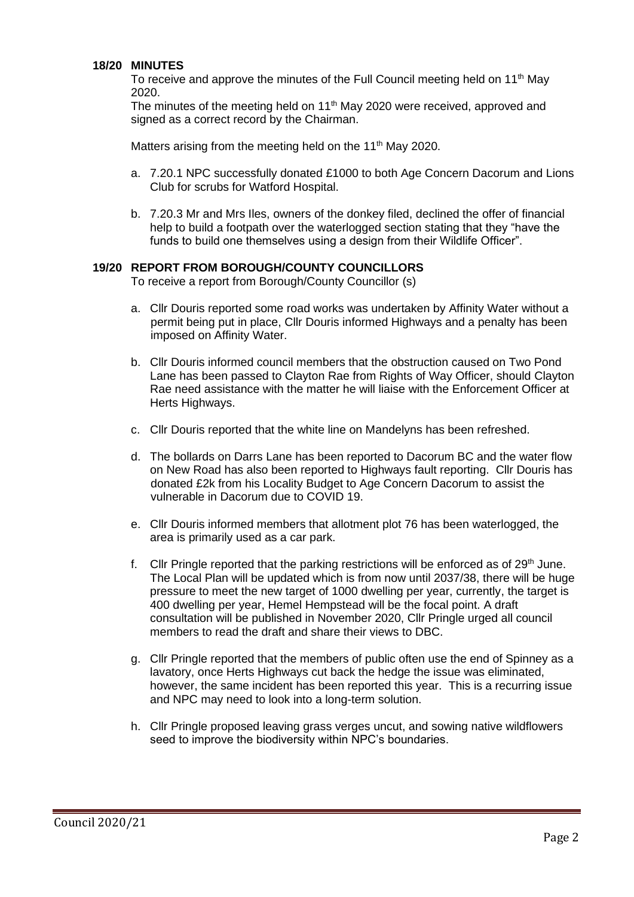#### **18/20 MINUTES**

To receive and approve the minutes of the Full Council meeting held on 11<sup>th</sup> May 2020.

The minutes of the meeting held on 11<sup>th</sup> May 2020 were received, approved and signed as a correct record by the Chairman.

Matters arising from the meeting held on the  $11<sup>th</sup>$  May 2020.

- a. 7.20.1 NPC successfully donated £1000 to both Age Concern Dacorum and Lions Club for scrubs for Watford Hospital.
- b. 7.20.3 Mr and Mrs Iles, owners of the donkey filed, declined the offer of financial help to build a footpath over the waterlogged section stating that they "have the funds to build one themselves using a design from their Wildlife Officer".

#### **19/20 REPORT FROM BOROUGH/COUNTY COUNCILLORS**

To receive a report from Borough/County Councillor (s)

- a. Cllr Douris reported some road works was undertaken by Affinity Water without a permit being put in place, Cllr Douris informed Highways and a penalty has been imposed on Affinity Water.
- b. Cllr Douris informed council members that the obstruction caused on Two Pond Lane has been passed to Clayton Rae from Rights of Way Officer, should Clayton Rae need assistance with the matter he will liaise with the Enforcement Officer at Herts Highways.
- c. Cllr Douris reported that the white line on Mandelyns has been refreshed.
- d. The bollards on Darrs Lane has been reported to Dacorum BC and the water flow on New Road has also been reported to Highways fault reporting. Cllr Douris has donated £2k from his Locality Budget to Age Concern Dacorum to assist the vulnerable in Dacorum due to COVID 19.
- e. Cllr Douris informed members that allotment plot 76 has been waterlogged, the area is primarily used as a car park.
- f. Cllr Pringle reported that the parking restrictions will be enforced as of  $29<sup>th</sup>$  June. The Local Plan will be updated which is from now until 2037/38, there will be huge pressure to meet the new target of 1000 dwelling per year, currently, the target is 400 dwelling per year, Hemel Hempstead will be the focal point. A draft consultation will be published in November 2020, Cllr Pringle urged all council members to read the draft and share their views to DBC.
- g. Cllr Pringle reported that the members of public often use the end of Spinney as a lavatory, once Herts Highways cut back the hedge the issue was eliminated, however, the same incident has been reported this year. This is a recurring issue and NPC may need to look into a long-term solution.
- h. Cllr Pringle proposed leaving grass verges uncut, and sowing native wildflowers seed to improve the biodiversity within NPC's boundaries.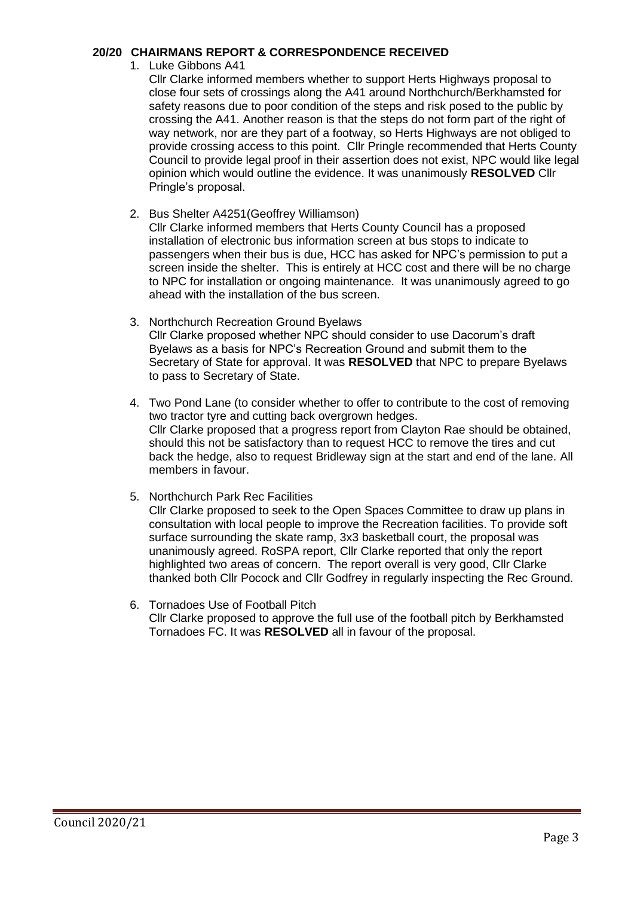### **20/20 CHAIRMANS REPORT & CORRESPONDENCE RECEIVED**

1. Luke Gibbons A41

Cllr Clarke informed members whether to support Herts Highways proposal to close four sets of crossings along the A41 around Northchurch/Berkhamsted for safety reasons due to poor condition of the steps and risk posed to the public by crossing the A41. Another reason is that the steps do not form part of the right of way network, nor are they part of a footway, so Herts Highways are not obliged to provide crossing access to this point. Cllr Pringle recommended that Herts County Council to provide legal proof in their assertion does not exist, NPC would like legal opinion which would outline the evidence. It was unanimously **RESOLVED** Cllr Pringle's proposal.

2. Bus Shelter A4251(Geoffrey Williamson)

Cllr Clarke informed members that Herts County Council has a proposed installation of electronic bus information screen at bus stops to indicate to passengers when their bus is due, HCC has asked for NPC's permission to put a screen inside the shelter. This is entirely at HCC cost and there will be no charge to NPC for installation or ongoing maintenance. It was unanimously agreed to go ahead with the installation of the bus screen.

- 3. Northchurch Recreation Ground Byelaws Cllr Clarke proposed whether NPC should consider to use Dacorum's draft Byelaws as a basis for NPC's Recreation Ground and submit them to the Secretary of State for approval. It was **RESOLVED** that NPC to prepare Byelaws to pass to Secretary of State.
- 4. Two Pond Lane (to consider whether to offer to contribute to the cost of removing two tractor tyre and cutting back overgrown hedges. Cllr Clarke proposed that a progress report from Clayton Rae should be obtained, should this not be satisfactory than to request HCC to remove the tires and cut back the hedge, also to request Bridleway sign at the start and end of the lane. All members in favour.
- 5. Northchurch Park Rec Facilities

Cllr Clarke proposed to seek to the Open Spaces Committee to draw up plans in consultation with local people to improve the Recreation facilities. To provide soft surface surrounding the skate ramp, 3x3 basketball court, the proposal was unanimously agreed. RoSPA report, Cllr Clarke reported that only the report highlighted two areas of concern. The report overall is very good, Cllr Clarke thanked both Cllr Pocock and Cllr Godfrey in regularly inspecting the Rec Ground.

6. Tornadoes Use of Football Pitch Cllr Clarke proposed to approve the full use of the football pitch by Berkhamsted Tornadoes FC. It was **RESOLVED** all in favour of the proposal.